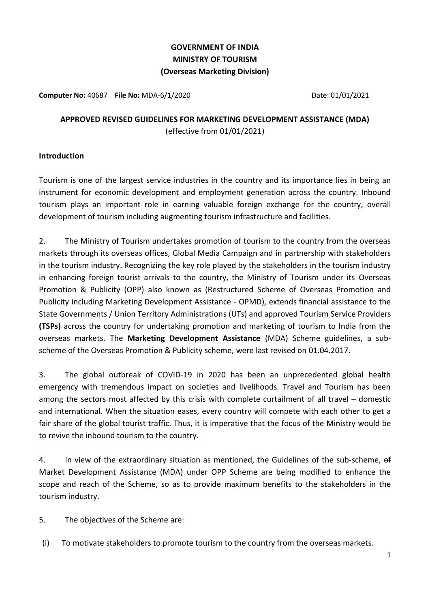# **GOVERNMENT OF INDIA MINISTRY OF TOURISM (Overseas Marketing Division)**

**Computer No:** 40687 **File No:** MDA-6/1/2020 **Date: 01/01/2021** Date: 01/01/2021

# **APPROVED REVISED GUIDELINES FOR MARKETING DEVELOPMENT ASSISTANCE (MDA)**  (effective from 01/01/2021)

#### **Introduction**

Tourism is one of the largest service industries in the country and its importance lies in being an instrument for economic development and employment generation across the country. Inbound tourism plays an important role in earning valuable foreign exchange for the country, overall development of tourism including augmenting tourism infrastructure and facilities.

2. The Ministry of Tourism undertakes promotion of tourism to the country from the overseas markets through its overseas offices, Global Media Campaign and in partnership with stakeholders in the tourism industry. Recognizing the key role played by the stakeholders in the tourism industry in enhancing foreign tourist arrivals to the country, the Ministry of Tourism under its Overseas Promotion & Publicity (OPP) also known as (Restructured Scheme of Overseas Promotion and Publicity including Marketing Development Assistance - OPMD), extends financial assistance to the State Governments / Union Territory Administrations (UTs) and approved Tourism Service Providers **(TSPs)** across the country for undertaking promotion and marketing of tourism to India from the overseas markets. The **Marketing Development Assistance** (MDA) Scheme guidelines, a subscheme of the Overseas Promotion & Publicity scheme, were last revised on 01.04.2017.

3. The global outbreak of COVID-19 in 2020 has been an unprecedented global health emergency with tremendous impact on societies and livelihoods. Travel and Tourism has been among the sectors most affected by this crisis with complete curtailment of all travel – domestic and international. When the situation eases, every country will compete with each other to get a fair share of the global tourist traffic. Thus, it is imperative that the focus of the Ministry would be to revive the inbound tourism to the country.

4. In view of the extraordinary situation as mentioned, the Guidelines of the sub-scheme, of Market Development Assistance (MDA) under OPP Scheme are being modified to enhance the scope and reach of the Scheme, so as to provide maximum benefits to the stakeholders in the tourism industry.

5. The objectives of the Scheme are:

(i) To motivate stakeholders to promote tourism to the country from the overseas markets.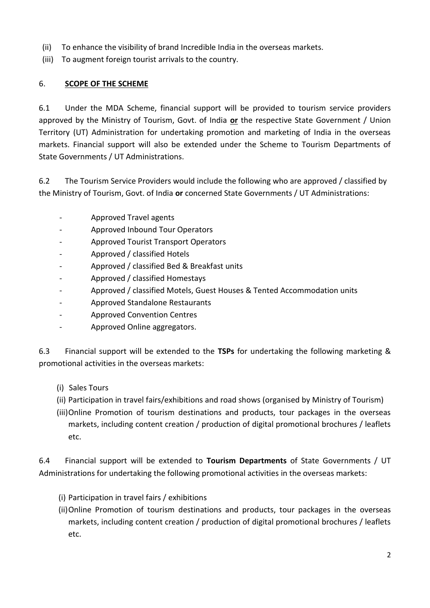- (ii) To enhance the visibility of brand Incredible India in the overseas markets.
- (iii) To augment foreign tourist arrivals to the country.

# 6. **SCOPE OF THE SCHEME**

6.1 Under the MDA Scheme, financial support will be provided to tourism service providers approved by the Ministry of Tourism, Govt. of India **or** the respective State Government / Union Territory (UT) Administration for undertaking promotion and marketing of India in the overseas markets. Financial support will also be extended under the Scheme to Tourism Departments of State Governments / UT Administrations.

6.2 The Tourism Service Providers would include the following who are approved / classified by the Ministry of Tourism, Govt. of India **or** concerned State Governments / UT Administrations:

- Approved Travel agents
- Approved Inbound Tour Operators
- Approved Tourist Transport Operators
- Approved / classified Hotels
- Approved / classified Bed & Breakfast units
- Approved / classified Homestays
- Approved / classified Motels, Guest Houses & Tented Accommodation units
- Approved Standalone Restaurants
- Approved Convention Centres
- Approved Online aggregators.

6.3 Financial support will be extended to the **TSPs** for undertaking the following marketing & promotional activities in the overseas markets:

- (i) Sales Tours
- (ii) Participation in travel fairs/exhibitions and road shows (organised by Ministry of Tourism)
- (iii)Online Promotion of tourism destinations and products, tour packages in the overseas markets, including content creation / production of digital promotional brochures / leaflets etc.

6.4 Financial support will be extended to **Tourism Departments** of State Governments / UT Administrations for undertaking the following promotional activities in the overseas markets:

- (i) Participation in travel fairs / exhibitions
- (ii)Online Promotion of tourism destinations and products, tour packages in the overseas markets, including content creation / production of digital promotional brochures / leaflets etc.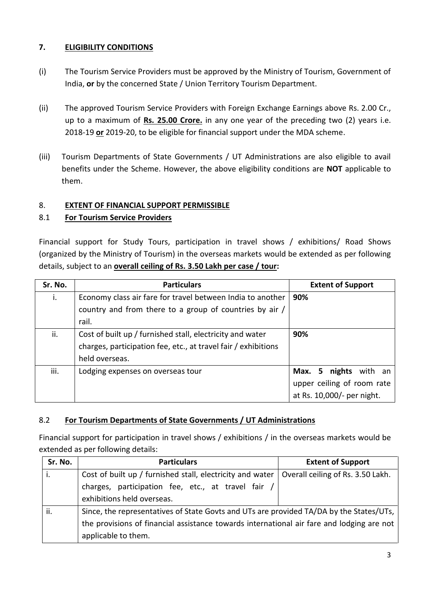## **7. ELIGIBILITY CONDITIONS**

- (i) The Tourism Service Providers must be approved by the Ministry of Tourism, Government of India, **or** by the concerned State / Union Territory Tourism Department.
- (ii) The approved Tourism Service Providers with Foreign Exchange Earnings above Rs. 2.00 Cr., up to a maximum of **Rs. 25.00 Crore.** in any one year of the preceding two (2) years i.e. 2018-19 **or** 2019-20, to be eligible for financial support under the MDA scheme.
- (iii) Tourism Departments of State Governments / UT Administrations are also eligible to avail benefits under the Scheme. However, the above eligibility conditions are **NOT** applicable to them.

## 8. **EXTENT OF FINANCIAL SUPPORT PERMISSIBLE**

## 8.1 **For Tourism Service Providers**

Financial support for Study Tours, participation in travel shows / exhibitions/ Road Shows (organized by the Ministry of Tourism) in the overseas markets would be extended as per following details, subject to an **overall ceiling of Rs. 3.50 Lakh per case / tour:**

| Sr. No. | <b>Particulars</b>                                             | <b>Extent of Support</b>   |
|---------|----------------------------------------------------------------|----------------------------|
| i.      | Economy class air fare for travel between India to another     | 90%                        |
|         | country and from there to a group of countries by air /        |                            |
|         | rail.                                                          |                            |
| ii.     | Cost of built up / furnished stall, electricity and water      | 90%                        |
|         | charges, participation fee, etc., at travel fair / exhibitions |                            |
|         | held overseas.                                                 |                            |
| iii.    | Lodging expenses on overseas tour                              | Max. 5 nights with an      |
|         |                                                                | upper ceiling of room rate |
|         |                                                                | at Rs. 10,000/- per night. |

# 8.2 **For Tourism Departments of State Governments / UT Administrations**

Financial support for participation in travel shows / exhibitions / in the overseas markets would be extended as per following details:

| Sr. No. | <b>Particulars</b>                                                                        | <b>Extent of Support</b>          |
|---------|-------------------------------------------------------------------------------------------|-----------------------------------|
| Ι.      | Cost of built up / furnished stall, electricity and water                                 | Overall ceiling of Rs. 3.50 Lakh. |
|         | charges, participation fee, etc., at travel fair /                                        |                                   |
|         | exhibitions held overseas.                                                                |                                   |
| ii.     | Since, the representatives of State Govts and UTs are provided TA/DA by the States/UTs,   |                                   |
|         | the provisions of financial assistance towards international air fare and lodging are not |                                   |
|         | applicable to them.                                                                       |                                   |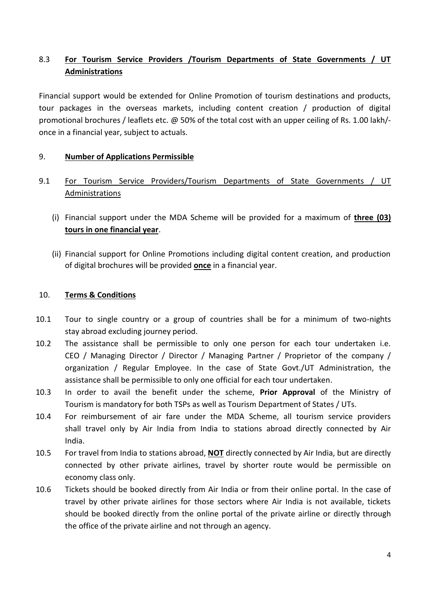# 8.3 **For Tourism Service Providers /Tourism Departments of State Governments / UT Administrations**

Financial support would be extended for Online Promotion of tourism destinations and products, tour packages in the overseas markets, including content creation / production of digital promotional brochures / leaflets etc. @ 50% of the total cost with an upper ceiling of Rs. 1.00 lakh/ once in a financial year, subject to actuals.

## 9. **Number of Applications Permissible**

- 9.1 For Tourism Service Providers/Tourism Departments of State Governments / UT Administrations
	- (i) Financial support under the MDA Scheme will be provided for a maximum of **three (03) tours in one financial year**.
	- (ii) Financial support for Online Promotions including digital content creation, and production of digital brochures will be provided **once** in a financial year.

## 10. **Terms & Conditions**

- 10.1 Tour to single country or a group of countries shall be for a minimum of two-nights stay abroad excluding journey period.
- 10.2 The assistance shall be permissible to only one person for each tour undertaken i.e. CEO / Managing Director / Director / Managing Partner / Proprietor of the company / organization / Regular Employee. In the case of State Govt./UT Administration, the assistance shall be permissible to only one official for each tour undertaken.
- 10.3 In order to avail the benefit under the scheme, **Prior Approval** of the Ministry of Tourism is mandatory for both TSPs as well as Tourism Department of States / UTs.
- 10.4 For reimbursement of air fare under the MDA Scheme, all tourism service providers shall travel only by Air India from India to stations abroad directly connected by Air India.
- 10.5 For travel from India to stations abroad, **NOT** directly connected by Air India, but are directly connected by other private airlines, travel by shorter route would be permissible on economy class only.
- 10.6 Tickets should be booked directly from Air India or from their online portal. In the case of travel by other private airlines for those sectors where Air India is not available, tickets should be booked directly from the online portal of the private airline or directly through the office of the private airline and not through an agency.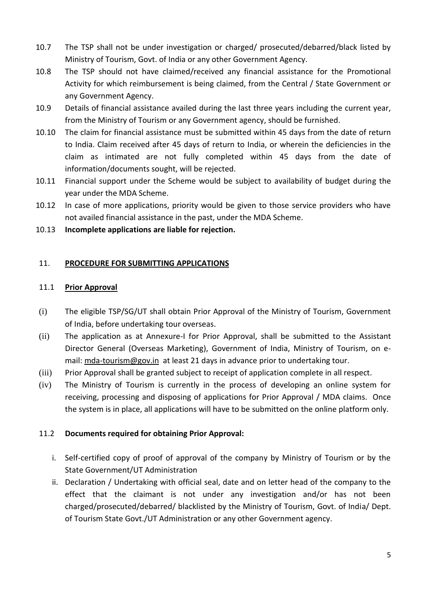- 10.7 The TSP shall not be under investigation or charged/ prosecuted/debarred/black listed by Ministry of Tourism, Govt. of India or any other Government Agency.
- 10.8 The TSP should not have claimed/received any financial assistance for the Promotional Activity for which reimbursement is being claimed, from the Central / State Government or any Government Agency.
- 10.9 Details of financial assistance availed during the last three years including the current year, from the Ministry of Tourism or any Government agency, should be furnished.
- 10.10 The claim for financial assistance must be submitted within 45 days from the date of return to India. Claim received after 45 days of return to India, or wherein the deficiencies in the claim as intimated are not fully completed within 45 days from the date of information/documents sought, will be rejected.
- 10.11 Financial support under the Scheme would be subject to availability of budget during the year under the MDA Scheme.
- 10.12 In case of more applications, priority would be given to those service providers who have not availed financial assistance in the past, under the MDA Scheme.
- 10.13 **Incomplete applications are liable for rejection.**

### 11. **PROCEDURE FOR SUBMITTING APPLICATIONS**

### 11.1 **Prior Approval**

- (i) The eligible TSP/SG/UT shall obtain Prior Approval of the Ministry of Tourism, Government of India, before undertaking tour overseas.
- (ii) The application as at Annexure-I for Prior Approval, shall be submitted to the Assistant Director General (Overseas Marketing), Government of India, Ministry of Tourism, on email: [mda-tourism@gov.in](mailto:mda-tourism@gov.in) at least 21 days in advance prior to undertaking tour.
- (iii) Prior Approval shall be granted subject to receipt of application complete in all respect.
- (iv) The Ministry of Tourism is currently in the process of developing an online system for receiving, processing and disposing of applications for Prior Approval / MDA claims. Once the system is in place, all applications will have to be submitted on the online platform only.

### 11.2 **Documents required for obtaining Prior Approval:**

- i. Self-certified copy of proof of approval of the company by Ministry of Tourism or by the State Government/UT Administration
- ii. Declaration / Undertaking with official seal, date and on letter head of the company to the effect that the claimant is not under any investigation and/or has not been charged/prosecuted/debarred/ blacklisted by the Ministry of Tourism, Govt. of India/ Dept. of Tourism State Govt./UT Administration or any other Government agency.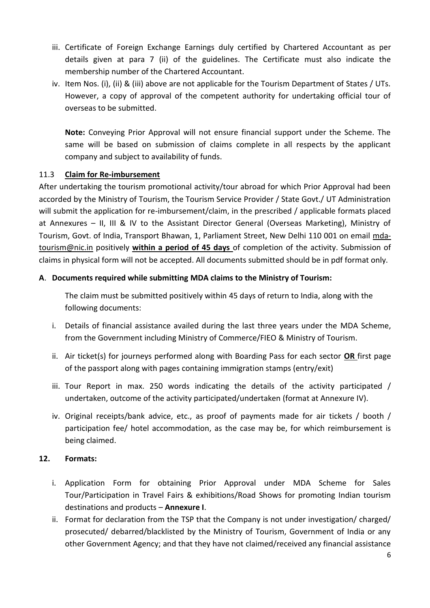- iii. Certificate of Foreign Exchange Earnings duly certified by Chartered Accountant as per details given at para 7 (ii) of the guidelines. The Certificate must also indicate the membership number of the Chartered Accountant.
- iv. Item Nos. (i), (ii) & (iii) above are not applicable for the Tourism Department of States / UTs. However, a copy of approval of the competent authority for undertaking official tour of overseas to be submitted.

**Note:** Conveying Prior Approval will not ensure financial support under the Scheme. The same will be based on submission of claims complete in all respects by the applicant company and subject to availability of funds.

## 11.3 **Claim for Re-imbursement**

After undertaking the tourism promotional activity/tour abroad for which Prior Approval had been accorded by the Ministry of Tourism, the Tourism Service Provider / State Govt./ UT Administration will submit the application for re-imbursement/claim, in the prescribed / applicable formats placed at Annexures – II, III & IV to the Assistant Director General (Overseas Marketing), Ministry of Tourism, Govt. of India, Transport Bhawan, 1, Parliament Street, New Delhi 110 001 on email [mda](mailto:mda-tourism@nic.in)[tourism@nic.in](mailto:mda-tourism@nic.in) positively **within a period of 45 days** of completion of the activity. Submission of claims in physical form will not be accepted. All documents submitted should be in pdf format only.

## **A**. **Documents required while submitting MDA claims to the Ministry of Tourism:**

The claim must be submitted positively within 45 days of return to India, along with the following documents:

- i. Details of financial assistance availed during the last three years under the MDA Scheme, from the Government including Ministry of Commerce/FIEO & Ministry of Tourism.
- ii. Air ticket(s) for journeys performed along with Boarding Pass for each sector **OR** first page of the passport along with pages containing immigration stamps (entry/exit)
- iii. Tour Report in max. 250 words indicating the details of the activity participated / undertaken, outcome of the activity participated/undertaken (format at Annexure IV).
- iv. Original receipts/bank advice, etc., as proof of payments made for air tickets / booth / participation fee/ hotel accommodation, as the case may be, for which reimbursement is being claimed.

### **12. Formats:**

- i. Application Form for obtaining Prior Approval under MDA Scheme for Sales Tour/Participation in Travel Fairs & exhibitions/Road Shows for promoting Indian tourism destinations and products – **Annexure I**.
- ii. Format for declaration from the TSP that the Company is not under investigation/ charged/ prosecuted/ debarred/blacklisted by the Ministry of Tourism, Government of India or any other Government Agency; and that they have not claimed/received any financial assistance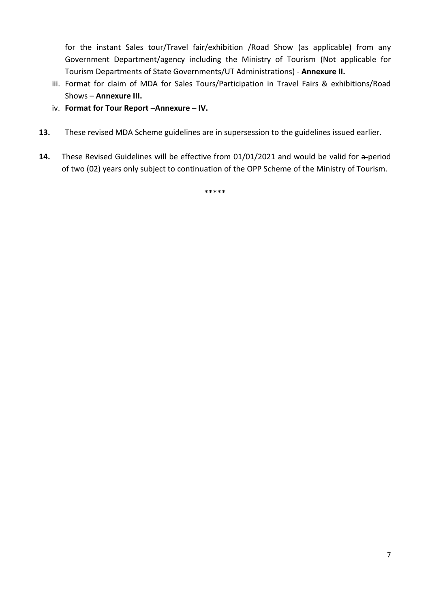for the instant Sales tour/Travel fair/exhibition /Road Show (as applicable) from any Government Department/agency including the Ministry of Tourism (Not applicable for Tourism Departments of State Governments/UT Administrations) - **Annexure II.**

- iii. Format for claim of MDA for Sales Tours/Participation in Travel Fairs & exhibitions/Road Shows – **Annexure III.**
- iv. **Format for Tour Report –Annexure – IV.**
- **13.** These revised MDA Scheme guidelines are in supersession to the guidelines issued earlier.
- 14. These Revised Guidelines will be effective from 01/01/2021 and would be valid for a-period of two (02) years only subject to continuation of the OPP Scheme of the Ministry of Tourism.

\*\*\*\*\*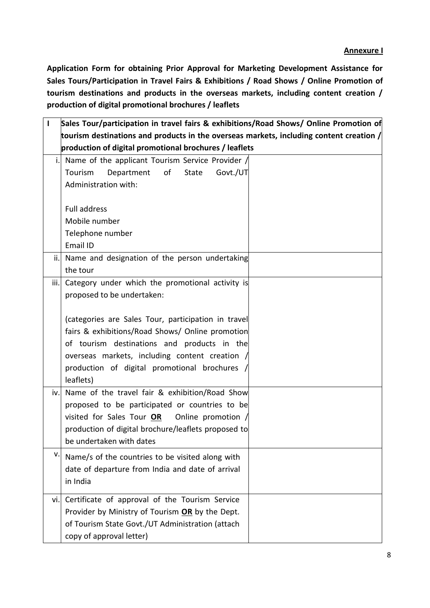### **Annexure I**

**Application Form for obtaining Prior Approval for Marketing Development Assistance for Sales Tours/Participation in Travel Fairs & Exhibitions / Road Shows / Online Promotion of tourism destinations and products in the overseas markets, including content creation / production of digital promotional brochures / leaflets**

| $\mathbf{I}$ | Sales Tour/participation in travel fairs & exhibitions/Road Shows/ Online Promotion of    |  |
|--------------|-------------------------------------------------------------------------------------------|--|
|              | tourism destinations and products in the overseas markets, including content creation $/$ |  |
|              | production of digital promotional brochures / leaflets                                    |  |
| i.           | Name of the applicant Tourism Service Provider /                                          |  |
|              | Tourism<br>Department<br>of<br>Govt./UT<br><b>State</b>                                   |  |
|              | Administration with:                                                                      |  |
|              |                                                                                           |  |
|              | <b>Full address</b>                                                                       |  |
|              | Mobile number                                                                             |  |
|              | Telephone number                                                                          |  |
|              | Email ID                                                                                  |  |
| ii.          | Name and designation of the person undertaking                                            |  |
|              | the tour                                                                                  |  |
| iii.         | Category under which the promotional activity is                                          |  |
|              | proposed to be undertaken:                                                                |  |
|              |                                                                                           |  |
|              | (categories are Sales Tour, participation in travel                                       |  |
|              | fairs & exhibitions/Road Shows/ Online promotion                                          |  |
|              | of tourism destinations and products in the                                               |  |
|              | overseas markets, including content creation                                              |  |
|              | production of digital promotional brochures /                                             |  |
|              | leaflets)                                                                                 |  |
| iv.          | Name of the travel fair & exhibition/Road Show                                            |  |
|              | proposed to be participated or countries to be                                            |  |
|              | visited for Sales Tour OR<br>Online promotion /                                           |  |
|              | production of digital brochure/leaflets proposed to                                       |  |
|              | be undertaken with dates                                                                  |  |
| ٧.           | Name/s of the countries to be visited along with                                          |  |
|              | date of departure from India and date of arrival                                          |  |
|              | in India                                                                                  |  |
| vi.          | Certificate of approval of the Tourism Service                                            |  |
|              | Provider by Ministry of Tourism OR by the Dept.                                           |  |
|              | of Tourism State Govt./UT Administration (attach                                          |  |
|              | copy of approval letter)                                                                  |  |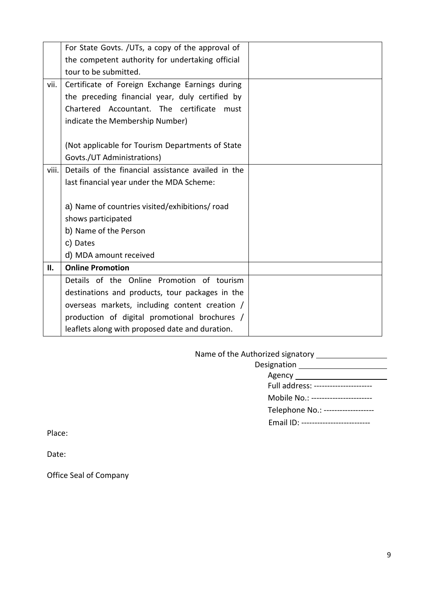|       | For State Govts. / UTs, a copy of the approval of  |  |
|-------|----------------------------------------------------|--|
|       | the competent authority for undertaking official   |  |
|       | tour to be submitted.                              |  |
| vii.  | Certificate of Foreign Exchange Earnings during    |  |
|       | the preceding financial year, duly certified by    |  |
|       | Chartered Accountant. The certificate<br>must      |  |
|       | indicate the Membership Number)                    |  |
|       |                                                    |  |
|       | (Not applicable for Tourism Departments of State   |  |
|       | Govts./UT Administrations)                         |  |
| viii. | Details of the financial assistance availed in the |  |
|       | last financial year under the MDA Scheme:          |  |
|       |                                                    |  |
|       | a) Name of countries visited/exhibitions/ road     |  |
|       | shows participated                                 |  |
|       | b) Name of the Person                              |  |
|       | c) Dates                                           |  |
|       | d) MDA amount received                             |  |
| ΙΙ.   | <b>Online Promotion</b>                            |  |
|       | Details of the Online Promotion of tourism         |  |
|       | destinations and products, tour packages in the    |  |
|       | overseas markets, including content creation /     |  |
|       | production of digital promotional brochures /      |  |
|       | leaflets along with proposed date and duration.    |  |

Name of the Authorized signatory

| Agency __________________________    |
|--------------------------------------|
| Full address: ---------------------- |
| Mobile No.: ----------------------   |
| Telephone No.: ------------------    |
| Email ID: -------------------------- |
|                                      |

Place:

Date:

Office Seal of Company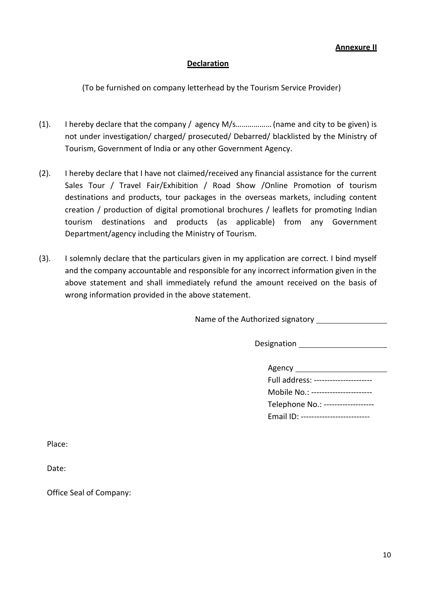### **Annexure II**

#### **Declaration**

(To be furnished on company letterhead by the Tourism Service Provider)

- (1). I hereby declare that the company / agency M/s………………(name and city to be given) is not under investigation/ charged/ prosecuted/ Debarred/ blacklisted by the Ministry of Tourism, Government of India or any other Government Agency.
- (2). I hereby declare that I have not claimed/received any financial assistance for the current Sales Tour / Travel Fair/Exhibition / Road Show /Online Promotion of tourism destinations and products, tour packages in the overseas markets, including content creation / production of digital promotional brochures / leaflets for promoting Indian tourism destinations and products (as applicable) from any Government Department/agency including the Ministry of Tourism.
- (3). I solemnly declare that the particulars given in my application are correct. I bind myself and the company accountable and responsible for any incorrect information given in the above statement and shall immediately refund the amount received on the basis of wrong information provided in the above statement.

Name of the Authorized signatory

**Designation** 

| Agency                               |
|--------------------------------------|
| Full address: ---------------------- |
| Mobile No.: ----------------------   |
| Telephone No.: ------------------    |
| Email ID: ------------------------   |

Place:

Date:

Office Seal of Company: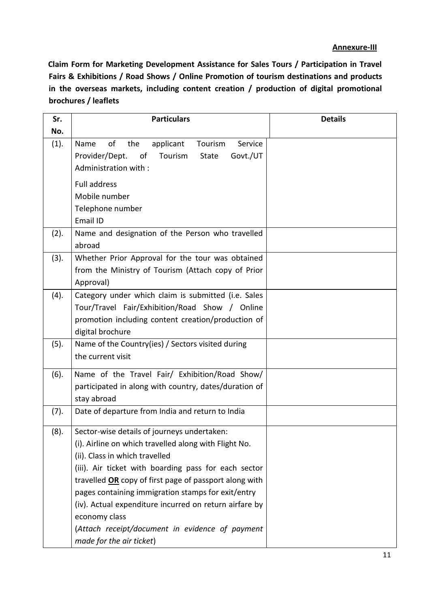#### **Annexure-III**

**Claim Form for Marketing Development Assistance for Sales Tours / Participation in Travel Fairs & Exhibitions / Road Shows / Online Promotion of tourism destinations and products in the overseas markets, including content creation / production of digital promotional brochures / leaflets**

| Sr.  | <b>Particulars</b>                                                                                                                                                                                                                                                                                                                                                                                                                                                       | <b>Details</b> |
|------|--------------------------------------------------------------------------------------------------------------------------------------------------------------------------------------------------------------------------------------------------------------------------------------------------------------------------------------------------------------------------------------------------------------------------------------------------------------------------|----------------|
| No.  |                                                                                                                                                                                                                                                                                                                                                                                                                                                                          |                |
| (1). | of<br>Service<br>Name<br>the<br>applicant<br>Tourism<br>Provider/Dept.<br>Govt./UT<br>Tourism<br>οf<br>State<br>Administration with:                                                                                                                                                                                                                                                                                                                                     |                |
|      | <b>Full address</b><br>Mobile number<br>Telephone number<br>Email ID                                                                                                                                                                                                                                                                                                                                                                                                     |                |
| (2). | Name and designation of the Person who travelled<br>abroad                                                                                                                                                                                                                                                                                                                                                                                                               |                |
| (3). | Whether Prior Approval for the tour was obtained<br>from the Ministry of Tourism (Attach copy of Prior<br>Approval)                                                                                                                                                                                                                                                                                                                                                      |                |
| (4). | Category under which claim is submitted (i.e. Sales<br>Tour/Travel Fair/Exhibition/Road Show / Online<br>promotion including content creation/production of<br>digital brochure                                                                                                                                                                                                                                                                                          |                |
| (5). | Name of the Country(ies) / Sectors visited during<br>the current visit                                                                                                                                                                                                                                                                                                                                                                                                   |                |
| (6). | Name of the Travel Fair/ Exhibition/Road Show/<br>participated in along with country, dates/duration of<br>stay abroad                                                                                                                                                                                                                                                                                                                                                   |                |
| (7). | Date of departure from India and return to India                                                                                                                                                                                                                                                                                                                                                                                                                         |                |
| (8). | Sector-wise details of journeys undertaken:<br>(i). Airline on which travelled along with Flight No.<br>(ii). Class in which travelled<br>(iii). Air ticket with boarding pass for each sector<br>travelled OR copy of first page of passport along with<br>pages containing immigration stamps for exit/entry<br>(iv). Actual expenditure incurred on return airfare by<br>economy class<br>(Attach receipt/document in evidence of payment<br>made for the air ticket) |                |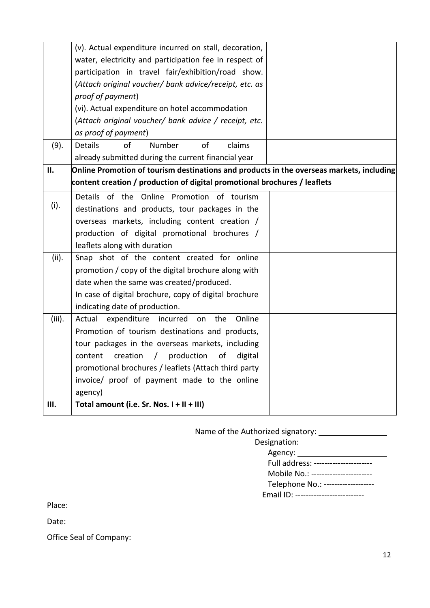|        | (v). Actual expenditure incurred on stall, decoration,                                   |  |
|--------|------------------------------------------------------------------------------------------|--|
|        | water, electricity and participation fee in respect of                                   |  |
|        | participation in travel fair/exhibition/road show.                                       |  |
|        | (Attach original voucher/ bank advice/receipt, etc. as                                   |  |
|        | proof of payment)                                                                        |  |
|        | (vi). Actual expenditure on hotel accommodation                                          |  |
|        | (Attach original voucher/ bank advice / receipt, etc.                                    |  |
|        | as proof of payment)                                                                     |  |
| (9).   | $\mathsf{of}$<br>of<br><b>Details</b><br>Number<br>claims                                |  |
|        | already submitted during the current financial year                                      |  |
| П.     | Online Promotion of tourism destinations and products in the overseas markets, including |  |
|        | content creation / production of digital promotional brochures / leaflets                |  |
|        | Details of the Online Promotion of tourism                                               |  |
| (i).   | destinations and products, tour packages in the                                          |  |
|        | overseas markets, including content creation /                                           |  |
|        | production of digital promotional brochures /                                            |  |
|        | leaflets along with duration                                                             |  |
| (ii).  | Snap shot of the content created for online                                              |  |
|        | promotion / copy of the digital brochure along with                                      |  |
|        | date when the same was created/produced.                                                 |  |
|        | In case of digital brochure, copy of digital brochure                                    |  |
|        | indicating date of production.                                                           |  |
| (iii). | Actual<br>expenditure<br>incurred<br>the<br>Online<br>on                                 |  |
|        | Promotion of tourism destinations and products,                                          |  |
|        | tour packages in the overseas markets, including                                         |  |
|        | content<br>creation<br>production<br>of<br>$\sqrt{2}$<br>digital                         |  |
|        | promotional brochures / leaflets (Attach third party                                     |  |
|        | invoice/ proof of payment made to the online                                             |  |
|        | agency)                                                                                  |  |
| Ш.     | Total amount (i.e. Sr. Nos. I + II + III)                                                |  |

Name of the Authorized signatory:

| Designation:                          |
|---------------------------------------|
| Agency: ________________              |
| Full address: ----------------------  |
| Mobile No.: ----------------------    |
| Telephone No.: -------------------    |
| Email ID: --------------------------- |

Place:

Date:

Office Seal of Company: